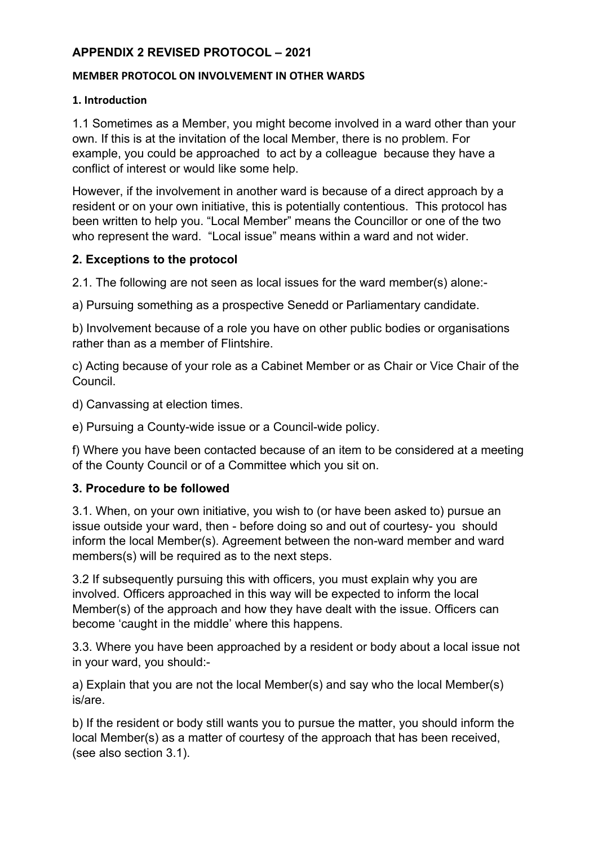## **APPENDIX 2 REVISED PROTOCOL – 2021**

#### **MEMBER PROTOCOL ON INVOLVEMENT IN OTHER WARDS**

### **1. Introduction**

1.1 Sometimes as a Member, you might become involved in a ward other than your own. If this is at the invitation of the local Member, there is no problem. For example, you could be approached to act by a colleague because they have a conflict of interest or would like some help.

However, if the involvement in another ward is because of a direct approach by a resident or on your own initiative, this is potentially contentious. This protocol has been written to help you. "Local Member" means the Councillor or one of the two who represent the ward. "Local issue" means within a ward and not wider.

## **2. Exceptions to the protocol**

2.1. The following are not seen as local issues for the ward member(s) alone:-

a) Pursuing something as a prospective Senedd or Parliamentary candidate.

b) Involvement because of a role you have on other public bodies or organisations rather than as a member of Flintshire.

c) Acting because of your role as a Cabinet Member or as Chair or Vice Chair of the Council.

d) Canvassing at election times.

e) Pursuing a County-wide issue or a Council-wide policy.

f) Where you have been contacted because of an item to be considered at a meeting of the County Council or of a Committee which you sit on.

# **3. Procedure to be followed**

3.1. When, on your own initiative, you wish to (or have been asked to) pursue an issue outside your ward, then - before doing so and out of courtesy- you should inform the local Member(s). Agreement between the non-ward member and ward members(s) will be required as to the next steps.

3.2 If subsequently pursuing this with officers, you must explain why you are involved. Officers approached in this way will be expected to inform the local Member(s) of the approach and how they have dealt with the issue. Officers can become 'caught in the middle' where this happens.

3.3. Where you have been approached by a resident or body about a local issue not in your ward, you should:-

a) Explain that you are not the local Member(s) and say who the local Member(s) is/are.

b) If the resident or body still wants you to pursue the matter, you should inform the local Member(s) as a matter of courtesy of the approach that has been received, (see also section 3.1).